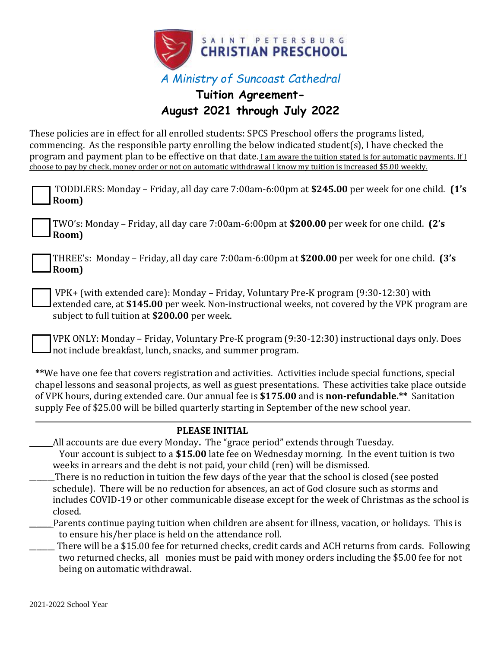

## **Tuition Agreement-August 2021 through July 2022**

These policies are in effect for all enrolled students: SPCS Preschool offers the programs listed, commencing. As the responsible party enrolling the below indicated student(s), I have checked the program and payment plan to be effective on that date. I am aware the tuition stated is for automatic payments. If I choose to pay by check, money order or not on automatic withdrawal I know my tuition is increased \$5.00 weekly.

| TODDLERS: Monday – Friday, all day care 7:00am-6:00pm at \$245.00 per week for one child. (1's<br>Room)                                                                                                                                                                                                                                                                                                                     |
|-----------------------------------------------------------------------------------------------------------------------------------------------------------------------------------------------------------------------------------------------------------------------------------------------------------------------------------------------------------------------------------------------------------------------------|
| TWO's: Monday - Friday, all day care 7:00am-6:00pm at \$200.00 per week for one child. (2's<br>Room)                                                                                                                                                                                                                                                                                                                        |
| THREE's: Monday – Friday, all day care 7:00am-6:00pm at \$200.00 per week for one child. (3's<br>Room)                                                                                                                                                                                                                                                                                                                      |
| VPK+ (with extended care): Monday - Friday, Voluntary Pre-K program (9:30-12:30) with<br>extended care, at \$145.00 per week. Non-instructional weeks, not covered by the VPK program are<br>subject to full tuition at \$200.00 per week.                                                                                                                                                                                  |
| VPK ONLY: Monday - Friday, Voluntary Pre-K program (9:30-12:30) instructional days only. Does<br>not include breakfast, lunch, snacks, and summer program.                                                                                                                                                                                                                                                                  |
| **We have one fee that covers registration and activities. Activities include special functions, special<br>chapel lessons and seasonal projects, as well as guest presentations. These activities take place outside<br>of VPK hours, during extended care. Our annual fee is \$175.00 and is non-refundable.** Sanitation<br>supply Fee of \$25.00 will be billed quarterly starting in September of the new school year. |
| <b>PLEASE INITIAL</b>                                                                                                                                                                                                                                                                                                                                                                                                       |
| All accounts are due every Monday. The "grace period" extends through Tuesday.                                                                                                                                                                                                                                                                                                                                              |
| Your account is subject to a \$15.00 late fee on Wednesday morning. In the event tuition is two                                                                                                                                                                                                                                                                                                                             |
| weeks in arrears and the debt is not paid, your child (ren) will be dismissed.                                                                                                                                                                                                                                                                                                                                              |
| There is no reduction in tuition the few days of the year that the school is closed (see posted                                                                                                                                                                                                                                                                                                                             |
| schedule). There will be no reduction for absences, an act of God closure such as storms and                                                                                                                                                                                                                                                                                                                                |
| includes COVID-19 or other communicable disease except for the week of Christmas as the school is                                                                                                                                                                                                                                                                                                                           |
| closed.                                                                                                                                                                                                                                                                                                                                                                                                                     |
| Parents continue paying tuition when children are absent for illness, vacation, or holidays. This is<br>to ensure his/her place is held on the attendance roll.                                                                                                                                                                                                                                                             |
| There will be a \$15,00 fee for returned checks, gradit cards and ACU returns from cards. Following                                                                                                                                                                                                                                                                                                                         |

There will be a \$15.00 fee for returned checks, credit cards and ACH returns from cards. Following two returned checks, all monies must be paid with money orders including the \$5.00 fee for not being on automatic withdrawal.